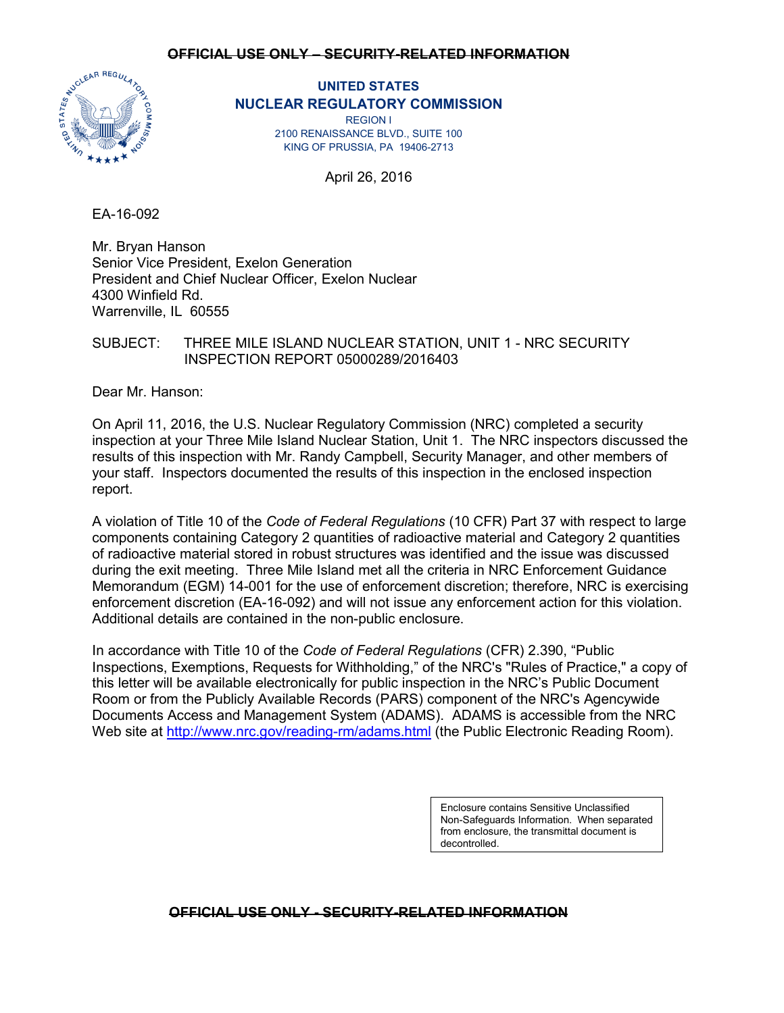

# **UNITED STATES NUCLEAR REGULATORY COMMISSION**

REGION I 2100 RENAISSANCE BLVD., SUITE 100 KING OF PRUSSIA, PA 19406-2713

April 26, 2016

EA-16-092

Mr. Bryan Hanson Senior Vice President, Exelon Generation President and Chief Nuclear Officer, Exelon Nuclear 4300 Winfield Rd. Warrenville, IL 60555

# SUBJECT: THREE MILE ISLAND NUCLEAR STATION, UNIT 1 - NRC SECURITY INSPECTION REPORT 05000289/2016403

Dear Mr. Hanson:

On April 11, 2016, the U.S. Nuclear Regulatory Commission (NRC) completed a security inspection at your Three Mile Island Nuclear Station, Unit 1. The NRC inspectors discussed the results of this inspection with Mr. Randy Campbell, Security Manager, and other members of your staff. Inspectors documented the results of this inspection in the enclosed inspection report.

A violation of Title 10 of the *Code of Federal Regulations* (10 CFR) Part 37 with respect to large components containing Category 2 quantities of radioactive material and Category 2 quantities of radioactive material stored in robust structures was identified and the issue was discussed during the exit meeting. Three Mile Island met all the criteria in NRC Enforcement Guidance Memorandum (EGM) 14-001 for the use of enforcement discretion; therefore, NRC is exercising enforcement discretion (EA-16-092) and will not issue any enforcement action for this violation. Additional details are contained in the non-public enclosure.

In accordance with Title 10 of the *Code of Federal Regulations* (CFR) 2.390, "Public Inspections, Exemptions, Requests for Withholding," of the NRC's "Rules of Practice," a copy of this letter will be available electronically for public inspection in the NRC's Public Document Room or from the Publicly Available Records (PARS) component of the NRC's Agencywide Documents Access and Management System (ADAMS). ADAMS is accessible from the NRC Web site at<http://www.nrc.gov/reading-rm/adams.html> (the Public Electronic Reading Room).

> Enclosure contains Sensitive Unclassified Non-Safeguards Information. When separated from enclosure, the transmittal document is decontrolled.

# **OFFICIAL USE ONLY - SECURITY-RELATED INFORMATION**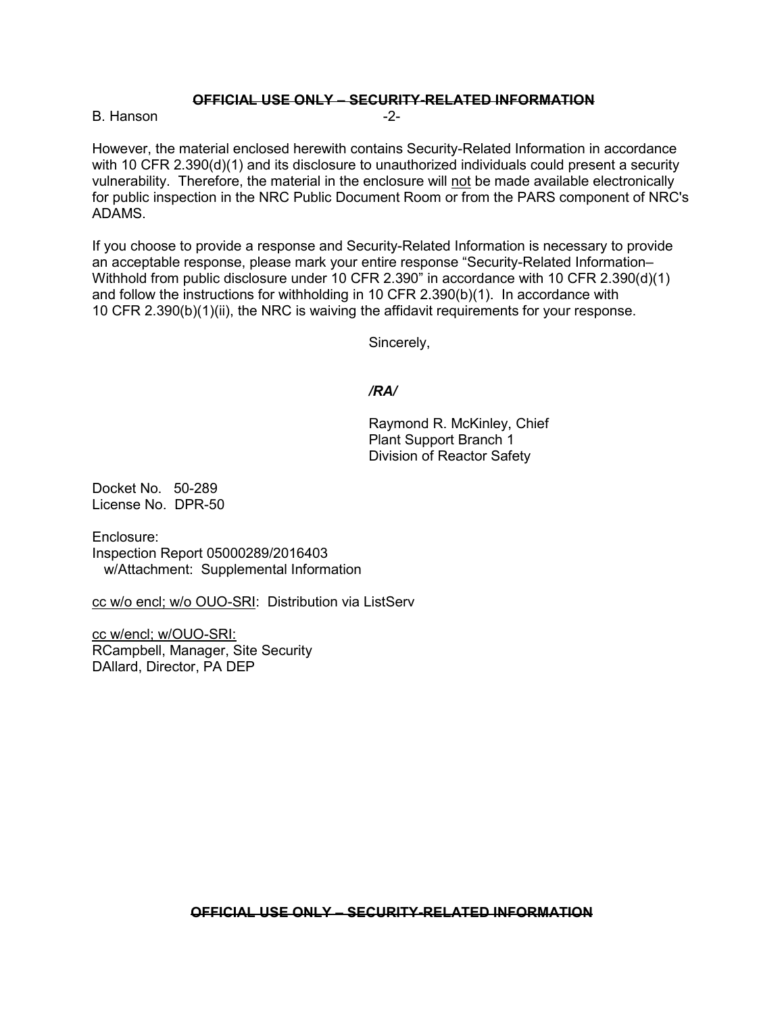B. Hanson **B. Hanson** -2-

However, the material enclosed herewith contains Security-Related Information in accordance with 10 CFR 2.390(d)(1) and its disclosure to unauthorized individuals could present a security vulnerability. Therefore, the material in the enclosure will not be made available electronically for public inspection in the NRC Public Document Room or from the PARS component of NRC's ADAMS.

If you choose to provide a response and Security-Related Information is necessary to provide an acceptable response, please mark your entire response "Security-Related Information– Withhold from public disclosure under 10 CFR 2.390" in accordance with 10 CFR 2.390(d)(1) and follow the instructions for withholding in 10 CFR 2.390(b)(1). In accordance with 10 CFR 2.390(b)(1)(ii), the NRC is waiving the affidavit requirements for your response.

Sincerely,

#### */RA/*

Raymond R. McKinley, Chief Plant Support Branch 1 Division of Reactor Safety

Docket No. 50-289 License No. DPR-50

Enclosure: Inspection Report 05000289/2016403 w/Attachment: Supplemental Information

cc w/o encl; w/o OUO-SRI: Distribution via ListServ

cc w/encl; w/OUO-SRI: RCampbell, Manager, Site Security DAllard, Director, PA DEP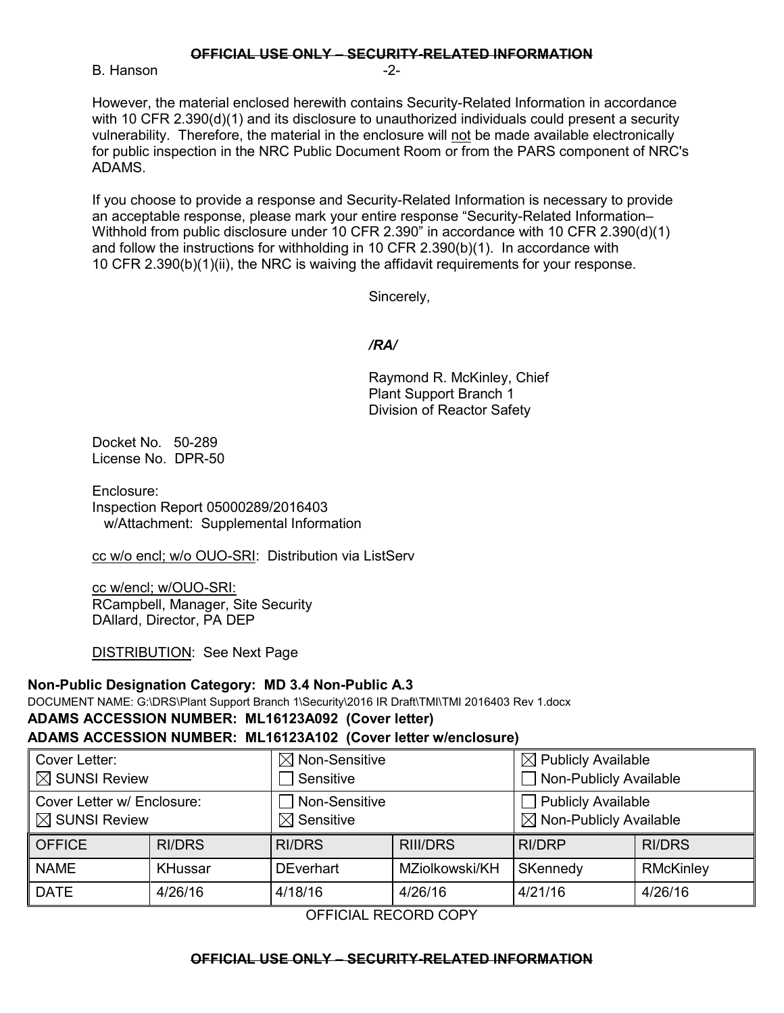B. Hanson **B.** Hanson

However, the material enclosed herewith contains Security-Related Information in accordance with 10 CFR 2.390(d)(1) and its disclosure to unauthorized individuals could present a security vulnerability. Therefore, the material in the enclosure will not be made available electronically for public inspection in the NRC Public Document Room or from the PARS component of NRC's ADAMS.

If you choose to provide a response and Security-Related Information is necessary to provide an acceptable response, please mark your entire response "Security-Related Information– Withhold from public disclosure under 10 CFR 2.390" in accordance with 10 CFR 2.390(d)(1) and follow the instructions for withholding in 10 CFR 2.390(b)(1). In accordance with 10 CFR 2.390(b)(1)(ii), the NRC is waiving the affidavit requirements for your response.

Sincerely,

### */RA/*

Raymond R. McKinley, Chief Plant Support Branch 1 Division of Reactor Safety

Docket No. 50-289 License No. DPR-50

Enclosure: Inspection Report 05000289/2016403 w/Attachment: Supplemental Information

cc w/o encl; w/o OUO-SRI: Distribution via ListServ

cc w/encl; w/OUO-SRI: RCampbell, Manager, Site Security DAllard, Director, PA DEP

DISTRIBUTION: See Next Page

#### **Non-Public Designation Category: MD 3.4 Non-Public A.3**

DOCUMENT NAME: G:\DRS\Plant Support Branch 1\Security\2016 IR Draft\TMI\TMI 2016403 Rev 1.docx

# **ADAMS ACCESSION NUMBER: ML16123A092 (Cover letter) ADAMS ACCESSION NUMBER: ML16123A102 (Cover letter w/enclosure)**

#### Cover Letter:  $\boxtimes$  SUNSI Review  $\boxtimes$  Non-Sensitive  $\Box$  Sensitive  $\boxtimes$  Publicly Available Non-Publicly Available Cover Letter w/ Enclosure:  $\boxtimes$  SUNSI Review Non-Sensitive  $\boxtimes$  Sensitive  $\Box$  Publicly Available  $\boxtimes$  Non-Publicly Available OFFICE | RI/DRS | RI/DRS | RIII/DRS | RI/DRP | RI/DRS NAME | KHussar | DEverhart | MZiolkowski/KH | SKennedy | RMcKinley DATE 4/26/16 4/18/16 4/26/16 4/21/16 4/26/16

OFFICIAL RECORD COPY

#### **OFFICIAL USE ONLY – SECURITY-RELATED INFORMATION**